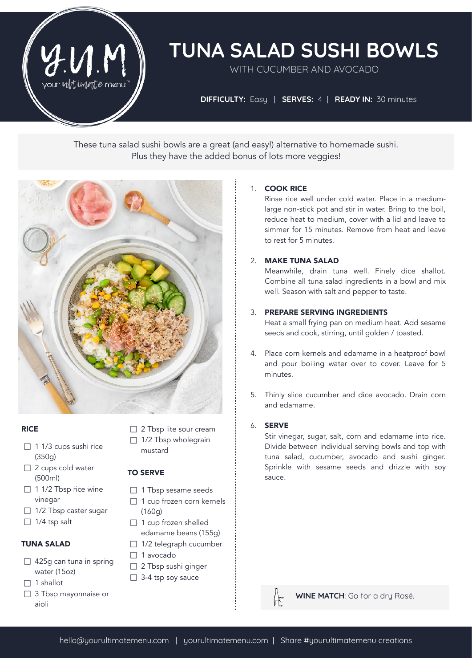

# **TUNA SALAD SUSHI BOWLS**

WITH CUCUMBER AND AVOCADO

**DIFFICULTY:** Easy | **SERVES:** 4| **READY IN:** 30 minutes

These tuna salad sushi bowls are a great (and easy!) alternative to homemade sushi. Plus they have the added bonus of lots more veggies!



#### **RICE**

- □ 1 1/3 cups sushi rice (350g)
- □ 2 cups cold water (500ml)
- $\Box$  1 1/2 Tbsp rice wine vinegar
- $\Box$  1/2 Tbsp caster sugar
- $\Box$  1/4 tsp salt

## TUNA SALAD

- $\Box$  425g can tuna in spring water (15oz)
- $\Box$  1 shallot
- □ 3 Tbsp mayonnaise or aioli
- □ 2 Tbsp lite sour cream
- $\Box$  1/2 Tbsp wholegrain mustard

## TO SERVE

- □ 1 Tbsp sesame seeds
- $\Box$  1 cup frozen corn kernels (160g)
- $\Box$  1 cup frozen shelled edamame beans (155g)
- $\Box$  1/2 telegraph cucumber
- □ 1 avocado
- □ 2 Tbsp sushi ginger
- □ 3-4 tsp soy sauce

## 1. COOK RICE

Rinse rice well under cold water. Place in a mediumlarge non-stick pot and stir in water. Bring to the boil, reduce heat to medium, cover with a lid and leave to simmer for 15 minutes. Remove from heat and leave to rest for 5 minutes.

#### 2. MAKE TUNA SALAD

Meanwhile, drain tuna well. Finely dice shallot. Combine all tuna salad ingredients in a bowl and mix well. Season with salt and pepper to taste.

## 3. PREPARE SERVING INGREDIENTS

Heat a small frying pan on medium heat. Add sesame seeds and cook, stirring, until golden / toasted.

- 4. Place corn kernels and edamame in a heatproof bowl and pour boiling water over to cover. Leave for 5 minutes.
- 5. Thinly slice cucumber and dice avocado. Drain corn and edamame.

## 6. SERVE

Stir vinegar, sugar, salt, corn and edamame into rice. Divide between individual serving bowls and top with tuna salad, cucumber, avocado and sushi ginger. Sprinkle with sesame seeds and drizzle with soy sauce.